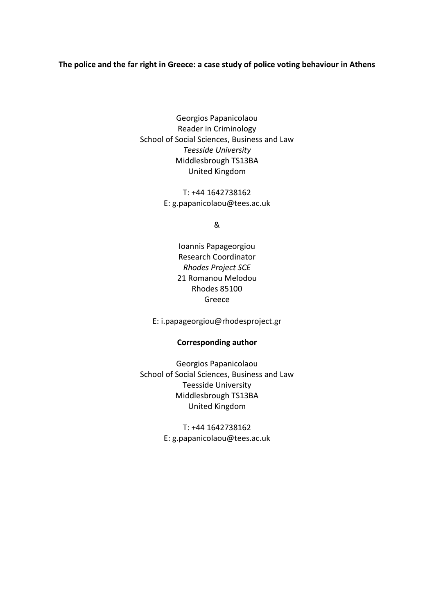# **The police and the far right in Greece: a case study of police voting behaviour in Athens**

Georgios Papanicolaou Reader in Criminology School of Social Sciences, Business and Law *Teesside University* Middlesbrough TS13BA United Kingdom

> T: +44 1642738162 E: g.papanicolaou@tees.ac.uk

> > &

Ioannis Papageorgiou Research Coordinator *Rhodes Project SCE* 21 Romanou Melodou Rhodes 85100 Greece

E: i.papageorgiou@rhodesproject.gr

# **Corresponding author**

Georgios Papanicolaou School of Social Sciences, Business and Law Teesside University Middlesbrough TS13BA United Kingdom

> T: +44 1642738162 E: g.papanicolaou@tees.ac.uk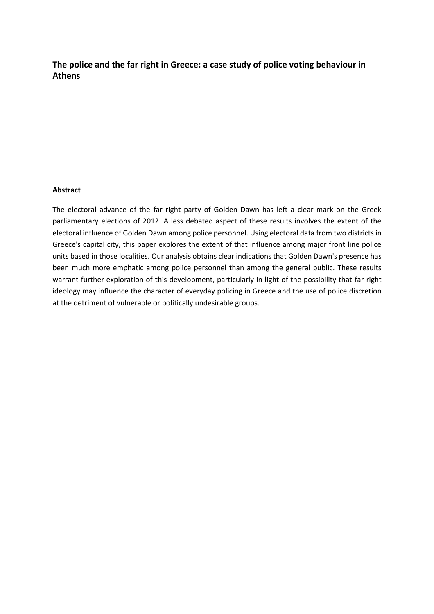**The police and the far right in Greece: a case study of police voting behaviour in Athens**

### **Abstract**

The electoral advance of the far right party of Golden Dawn has left a clear mark on the Greek parliamentary elections of 2012. A less debated aspect of these results involves the extent of the electoral influence of Golden Dawn among police personnel. Using electoral data from two districts in Greece's capital city, this paper explores the extent of that influence among major front line police units based in those localities. Our analysis obtains clear indications that Golden Dawn's presence has been much more emphatic among police personnel than among the general public. These results warrant further exploration of this development, particularly in light of the possibility that far-right ideology may influence the character of everyday policing in Greece and the use of police discretion at the detriment of vulnerable or politically undesirable groups.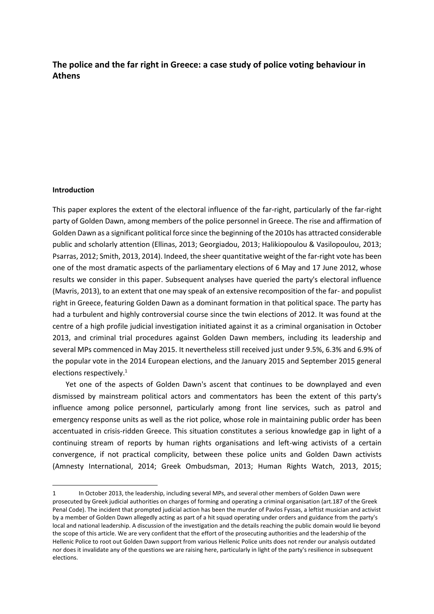# **The police and the far right in Greece: a case study of police voting behaviour in Athens**

#### **Introduction**

l

This paper explores the extent of the electoral influence of the far-right, particularly of the far-right party of Golden Dawn, among members of the police personnel in Greece. The rise and affirmation of Golden Dawn as a significant political force since the beginning of the 2010s has attracted considerable public and scholarly attention (Ellinas, 2013; Georgiadou, 2013; Halikiopoulou & Vasilopoulou, 2013; Psarras, 2012; Smith, 2013, 2014). Indeed, the sheer quantitative weight of the far-right vote has been one of the most dramatic aspects of the parliamentary elections of 6 May and 17 June 2012, whose results we consider in this paper. Subsequent analyses have queried the party's electoral influence (Mavris, 2013), to an extent that one may speak of an extensive recomposition of the far- and populist right in Greece, featuring Golden Dawn as a dominant formation in that political space. The party has had a turbulent and highly controversial course since the twin elections of 2012. It was found at the centre of a high profile judicial investigation initiated against it as a criminal organisation in October 2013, and criminal trial procedures against Golden Dawn members, including its leadership and several MPs commenced in May 2015. It nevertheless still received just under 9.5%, 6.3% and 6.9% of the popular vote in the 2014 European elections, and the January 2015 and September 2015 general elections respectively.<sup>1</sup>

Yet one of the aspects of Golden Dawn's ascent that continues to be downplayed and even dismissed by mainstream political actors and commentators has been the extent of this party's influence among police personnel, particularly among front line services, such as patrol and emergency response units as well as the riot police, whose role in maintaining public order has been accentuated in crisis-ridden Greece. This situation constitutes a serious knowledge gap in light of a continuing stream of reports by human rights organisations and left-wing activists of a certain convergence, if not practical complicity, between these police units and Golden Dawn activists (Amnesty International, 2014; Greek Ombudsman, 2013; Human Rights Watch, 2013, 2015;

<sup>1</sup> In October 2013, the leadership, including several MPs, and several other members of Golden Dawn were prosecuted by Greek judicial authorities on charges of forming and operating a criminal organisation (art.187 of the Greek Penal Code). The incident that prompted judicial action has been the murder of Pavlos Fyssas, a leftist musician and activist by a member of Golden Dawn allegedly acting as part of a hit squad operating under orders and guidance from the party's local and national leadership. A discussion of the investigation and the details reaching the public domain would lie beyond the scope of this article. We are very confident that the effort of the prosecuting authorities and the leadership of the Hellenic Police to root out Golden Dawn support from various Hellenic Police units does not render our analysis outdated nor does it invalidate any of the questions we are raising here, particularly in light of the party's resilience in subsequent elections.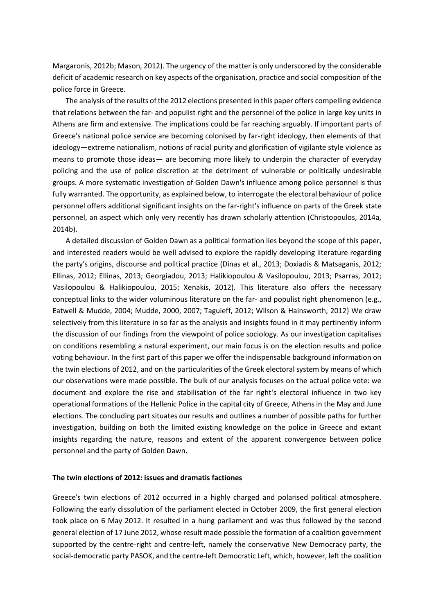Margaronis, 2012b; Mason, 2012). The urgency of the matter is only underscored by the considerable deficit of academic research on key aspects of the organisation, practice and social composition of the police force in Greece.

The analysis of the results of the 2012 elections presented in this paper offers compelling evidence that relations between the far- and populist right and the personnel of the police in large key units in Athens are firm and extensive. The implications could be far reaching arguably. If important parts of Greece's national police service are becoming colonised by far-right ideology, then elements of that ideology—extreme nationalism, notions of racial purity and glorification of vigilante style violence as means to promote those ideas— are becoming more likely to underpin the character of everyday policing and the use of police discretion at the detriment of vulnerable or politically undesirable groups. A more systematic investigation of Golden Dawn's influence among police personnel is thus fully warranted. The opportunity, as explained below, to interrogate the electoral behaviour of police personnel offers additional significant insights on the far-right's influence on parts of the Greek state personnel, an aspect which only very recently has drawn scholarly attention (Christopoulos, 2014a, 2014b).

A detailed discussion of Golden Dawn as a political formation lies beyond the scope of this paper, and interested readers would be well advised to explore the rapidly developing literature regarding the party's origins, discourse and political practice (Dinas et al., 2013; Doxiadis & Matsaganis, 2012; Ellinas, 2012; Ellinas, 2013; Georgiadou, 2013; Halikiopoulou & Vasilopoulou, 2013; Psarras, 2012; Vasilopoulou & Halikiopoulou, 2015; Xenakis, 2012). This literature also offers the necessary conceptual links to the wider voluminous literature on the far- and populist right phenomenon (e.g., Eatwell & Mudde, 2004; Mudde, 2000, 2007; Taguieff, 2012; Wilson & Hainsworth, 2012) We draw selectively from this literature in so far as the analysis and insights found in it may pertinently inform the discussion of our findings from the viewpoint of police sociology. As our investigation capitalises on conditions resembling a natural experiment, our main focus is on the election results and police voting behaviour. In the first part of this paper we offer the indispensable background information on the twin elections of 2012, and on the particularities of the Greek electoral system by means of which our observations were made possible. The bulk of our analysis focuses on the actual police vote: we document and explore the rise and stabilisation of the far right's electoral influence in two key operational formations of the Hellenic Police in the capital city of Greece, Athens in the May and June elections. The concluding part situates our results and outlines a number of possible paths for further investigation, building on both the limited existing knowledge on the police in Greece and extant insights regarding the nature, reasons and extent of the apparent convergence between police personnel and the party of Golden Dawn.

### **The twin elections of 2012: issues and dramatis factiones**

Greece's twin elections of 2012 occurred in a highly charged and polarised political atmosphere. Following the early dissolution of the parliament elected in October 2009, the first general election took place on 6 May 2012. It resulted in a hung parliament and was thus followed by the second general election of 17 June 2012, whose result made possible the formation of a coalition government supported by the centre-right and centre-left, namely the conservative New Democracy party, the social-democratic party PASOK, and the centre-left Democratic Left, which, however, left the coalition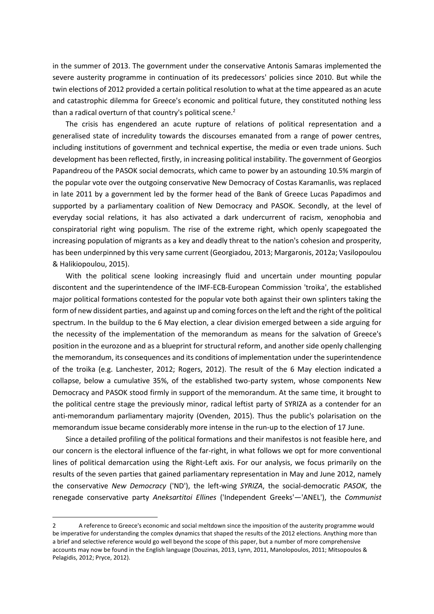in the summer of 2013. The government under the conservative Antonis Samaras implemented the severe austerity programme in continuation of its predecessors' policies since 2010. But while the twin elections of 2012 provided a certain political resolution to what at the time appeared as an acute and catastrophic dilemma for Greece's economic and political future, they constituted nothing less than a radical overturn of that country's political scene. $2$ 

The crisis has engendered an acute rupture of relations of political representation and a generalised state of incredulity towards the discourses emanated from a range of power centres, including institutions of government and technical expertise, the media or even trade unions. Such development has been reflected, firstly, in increasing political instability. The government of Georgios Papandreou of the PASOK social democrats, which came to power by an astounding 10.5% margin of the popular vote over the outgoing conservative New Democracy of Costas Karamanlis, was replaced in late 2011 by a government led by the former head of the Bank of Greece Lucas Papadimos and supported by a parliamentary coalition of New Democracy and PASOK. Secondly, at the level of everyday social relations, it has also activated a dark undercurrent of racism, xenophobia and conspiratorial right wing populism. The rise of the extreme right, which openly scapegoated the increasing population of migrants as a key and deadly threat to the nation's cohesion and prosperity, has been underpinned by this very same current (Georgiadou, 2013; Margaronis, 2012a; Vasilopoulou & Halikiopoulou, 2015).

With the political scene looking increasingly fluid and uncertain under mounting popular discontent and the superintendence of the IMF-ECB-European Commission 'troika', the established major political formations contested for the popular vote both against their own splinters taking the form of new dissident parties, and against up and coming forces on the left and the right of the political spectrum. In the buildup to the 6 May election, a clear division emerged between a side arguing for the necessity of the implementation of the memorandum as means for the salvation of Greece's position in the eurozone and as a blueprint for structural reform, and another side openly challenging the memorandum, its consequences and its conditions of implementation under the superintendence of the troika (e.g. Lanchester, 2012; Rogers, 2012). The result of the 6 May election indicated a collapse, below a cumulative 35%, of the established two-party system, whose components New Democracy and PASOK stood firmly in support of the memorandum. At the same time, it brought to the political centre stage the previously minor, radical leftist party of SYRIZA as a contender for an anti-memorandum parliamentary majority (Ovenden, 2015). Thus the public's polarisation on the memorandum issue became considerably more intense in the run-up to the election of 17 June.

Since a detailed profiling of the political formations and their manifestos is not feasible here, and our concern is the electoral influence of the far-right, in what follows we opt for more conventional lines of political demarcation using the Right-Left axis. For our analysis, we focus primarily on the results of the seven parties that gained parliamentary representation in May and June 2012, namely the conservative *New Democracy* ('ND'), the left-wing *SYRIZA*, the social-democratic *PASOK*, the renegade conservative party *Aneksartitoi Ellines* ('Independent Greeks'—'ANEL'), the *Communist* 

 $\overline{a}$ 

<sup>2</sup> A reference to Greece's economic and social meltdown since the imposition of the austerity programme would be imperative for understanding the complex dynamics that shaped the results of the 2012 elections. Anything more than a brief and selective reference would go well beyond the scope of this paper, but a number of more comprehensive accounts may now be found in the English language (Douzinas, 2013, Lynn, 2011, Manolopoulos, 2011; Mitsopoulos & Pelagidis, 2012; Pryce, 2012).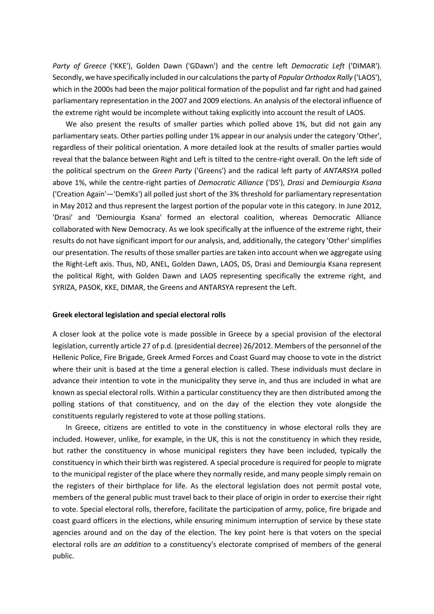*Party of Greece* ('KKE'), Golden Dawn ('GDawn') and the centre left *Democratic Left* ('DIMAR'). Secondly, we have specifically included in our calculations the party of *Popular Orthodox Rally* ('LAOS'), which in the 2000s had been the major political formation of the populist and far right and had gained parliamentary representation in the 2007 and 2009 elections. An analysis of the electoral influence of the extreme right would be incomplete without taking explicitly into account the result of LAOS.

We also present the results of smaller parties which polled above 1%, but did not gain any parliamentary seats. Other parties polling under 1% appear in our analysis under the category 'Other', regardless of their political orientation. A more detailed look at the results of smaller parties would reveal that the balance between Right and Left is tilted to the centre-right overall. On the left side of the political spectrum on the *Green Party* ('Greens') and the radical left party of *ANTARSYA* polled above 1%, while the centre-right parties of *Democratic Alliance* ('DS'), *Drasi* and *Demiourgia Ksana*  ('Creation Again'—'DemKs') all polled just short of the 3% threshold for parliamentary representation in May 2012 and thus represent the largest portion of the popular vote in this category. In June 2012, 'Drasi' and 'Demiourgia Ksana' formed an electoral coalition, whereas Democratic Alliance collaborated with New Democracy. As we look specifically at the influence of the extreme right, their results do not have significant import for our analysis, and, additionally, the category 'Other' simplifies our presentation. The results of those smaller parties are taken into account when we aggregate using the Right-Left axis. Thus, ND, ANEL, Golden Dawn, LAOS, DS, Drasi and Demiourgia Ksana represent the political Right, with Golden Dawn and LAOS representing specifically the extreme right, and SYRIZA, PASOK, KKE, DIMAR, the Greens and ANTARSYA represent the Left.

#### **Greek electoral legislation and special electoral rolls**

A closer look at the police vote is made possible in Greece by a special provision of the electoral legislation, currently article 27 of p.d. (presidential decree) 26/2012. Members of the personnel of the Hellenic Police, Fire Brigade, Greek Armed Forces and Coast Guard may choose to vote in the district where their unit is based at the time a general election is called. These individuals must declare in advance their intention to vote in the municipality they serve in, and thus are included in what are known as special electoral rolls. Within a particular constituency they are then distributed among the polling stations of that constituency, and on the day of the election they vote alongside the constituents regularly registered to vote at those polling stations.

In Greece, citizens are entitled to vote in the constituency in whose electoral rolls they are included. However, unlike, for example, in the UK, this is not the constituency in which they reside, but rather the constituency in whose municipal registers they have been included, typically the constituency in which their birth was registered. A special procedure is required for people to migrate to the municipal register of the place where they normally reside, and many people simply remain on the registers of their birthplace for life. As the electoral legislation does not permit postal vote, members of the general public must travel back to their place of origin in order to exercise their right to vote. Special electoral rolls, therefore, facilitate the participation of army, police, fire brigade and coast guard officers in the elections, while ensuring minimum interruption of service by these state agencies around and on the day of the election. The key point here is that voters on the special electoral rolls are *an addition* to a constituency's electorate comprised of members of the general public.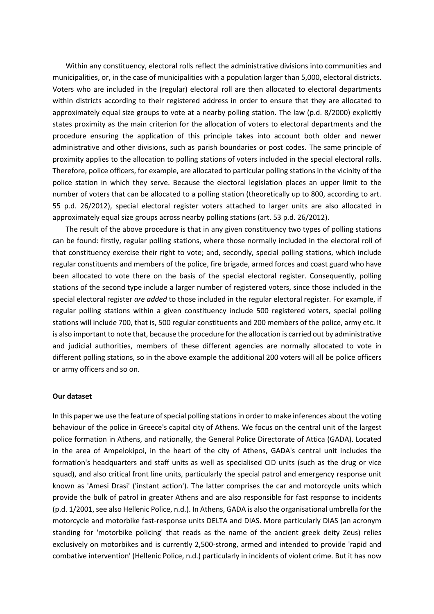Within any constituency, electoral rolls reflect the administrative divisions into communities and municipalities, or, in the case of municipalities with a population larger than 5,000, electoral districts. Voters who are included in the (regular) electoral roll are then allocated to electoral departments within districts according to their registered address in order to ensure that they are allocated to approximately equal size groups to vote at a nearby polling station. The law (p.d. 8/2000) explicitly states proximity as the main criterion for the allocation of voters to electoral departments and the procedure ensuring the application of this principle takes into account both older and newer administrative and other divisions, such as parish boundaries or post codes. The same principle of proximity applies to the allocation to polling stations of voters included in the special electoral rolls. Therefore, police officers, for example, are allocated to particular polling stations in the vicinity of the police station in which they serve. Because the electoral legislation places an upper limit to the number of voters that can be allocated to a polling station (theoretically up to 800, according to art. 55 p.d. 26/2012), special electoral register voters attached to larger units are also allocated in approximately equal size groups across nearby polling stations (art. 53 p.d. 26/2012).

The result of the above procedure is that in any given constituency two types of polling stations can be found: firstly, regular polling stations, where those normally included in the electoral roll of that constituency exercise their right to vote; and, secondly, special polling stations, which include regular constituents and members of the police, fire brigade, armed forces and coast guard who have been allocated to vote there on the basis of the special electoral register. Consequently, polling stations of the second type include a larger number of registered voters, since those included in the special electoral register *are added* to those included in the regular electoral register. For example, if regular polling stations within a given constituency include 500 registered voters, special polling stations will include 700, that is, 500 regular constituents and 200 members of the police, army etc. It is also important to note that, because the procedure for the allocation is carried out by administrative and judicial authorities, members of these different agencies are normally allocated to vote in different polling stations, so in the above example the additional 200 voters will all be police officers or army officers and so on.

### **Our dataset**

In this paper we use the feature of special polling stations in order to make inferences about the voting behaviour of the police in Greece's capital city of Athens. We focus on the central unit of the largest police formation in Athens, and nationally, the General Police Directorate of Attica (GADA). Located in the area of Ampelokipoi, in the heart of the city of Athens, GADA's central unit includes the formation's headquarters and staff units as well as specialised CID units (such as the drug or vice squad), and also critical front line units, particularly the special patrol and emergency response unit known as 'Amesi Drasi' ('instant action'). The latter comprises the car and motorcycle units which provide the bulk of patrol in greater Athens and are also responsible for fast response to incidents (p.d. 1/2001, see also Hellenic Police, n.d.). In Athens, GADA is also the organisational umbrella for the motorcycle and motorbike fast-response units DELTA and DIAS. More particularly DIAS (an acronym standing for 'motorbike policing' that reads as the name of the ancient greek deity Zeus) relies exclusively on motorbikes and is currently 2,500-strong, armed and intended to provide 'rapid and combative intervention' (Hellenic Police, n.d.) particularly in incidents of violent crime. But it has now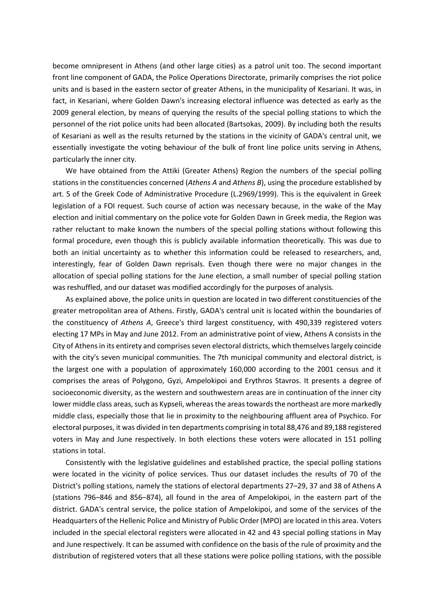become omnipresent in Athens (and other large cities) as a patrol unit too. The second important front line component of GADA, the Police Operations Directorate, primarily comprises the riot police units and is based in the eastern sector of greater Athens, in the municipality of Kesariani. It was, in fact, in Kesariani, where Golden Dawn's increasing electoral influence was detected as early as the 2009 general election, by means of querying the results of the special polling stations to which the personnel of the riot police units had been allocated (Bartsokas, 2009). By including both the results of Kesariani as well as the results returned by the stations in the vicinity of GADA's central unit, we essentially investigate the voting behaviour of the bulk of front line police units serving in Athens, particularly the inner city.

We have obtained from the Attiki (Greater Athens) Region the numbers of the special polling stations in the constituencies concerned (*Athens A* and *Athens B*), using the procedure established by art. 5 of the Greek Code of Administrative Procedure (L.2969/1999). This is the equivalent in Greek legislation of a FOI request. Such course of action was necessary because, in the wake of the May election and initial commentary on the police vote for Golden Dawn in Greek media, the Region was rather reluctant to make known the numbers of the special polling stations without following this formal procedure, even though this is publicly available information theoretically. This was due to both an initial uncertainty as to whether this information could be released to researchers, and, interestingly, fear of Golden Dawn reprisals. Even though there were no major changes in the allocation of special polling stations for the June election, a small number of special polling station was reshuffled, and our dataset was modified accordingly for the purposes of analysis.

As explained above, the police units in question are located in two different constituencies of the greater metropolitan area of Athens. Firstly, GADA's central unit is located within the boundaries of the constituency of *Athens A*, Greece's third largest constituency, with 490,339 registered voters electing 17 MPs in May and June 2012. From an administrative point of view, Athens A consists in the City of Athens in its entirety and comprises seven electoral districts, which themselves largely coincide with the city's seven municipal communities. The 7th municipal community and electoral district, is the largest one with a population of approximately 160,000 according to the 2001 census and it comprises the areas of Polygono, Gyzi, Ampelokipoi and Erythros Stavros. It presents a degree of socioeconomic diversity, as the western and southwestern areas are in continuation of the inner city lower middle class areas, such as Kypseli, whereas the areas towards the northeast are more markedly middle class, especially those that lie in proximity to the neighbouring affluent area of Psychico. For electoral purposes, it was divided in ten departments comprising in total 88,476 and 89,188 registered voters in May and June respectively. In both elections these voters were allocated in 151 polling stations in total.

Consistently with the legislative guidelines and established practice, the special polling stations were located in the vicinity of police services. Thus our dataset includes the results of 70 of the District's polling stations, namely the stations of electoral departments 27–29, 37 and 38 of Athens A (stations 796–846 and 856–874), all found in the area of Ampelokipoi, in the eastern part of the district. GADA's central service, the police station of Ampelokipoi, and some of the services of the Headquarters of the Hellenic Police and Ministry of Public Order (MPO) are located in this area. Voters included in the special electoral registers were allocated in 42 and 43 special polling stations in May and June respectively. It can be assumed with confidence on the basis of the rule of proximity and the distribution of registered voters that all these stations were police polling stations, with the possible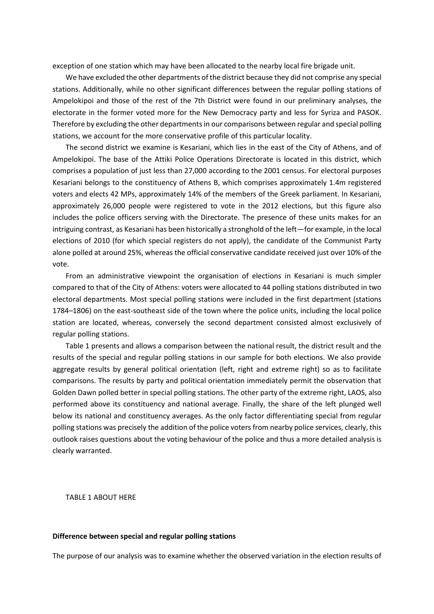exception of one station which may have been allocated to the nearby local fire brigade unit.

We have excluded the other departments of the district because they did not comprise any special stations. Additionally, while no other significant differences between the regular polling stations of Ampelokipoi and those of the rest of the 7th District were found in our preliminary analyses, the electorate in the former voted more for the New Democracy party and less for Syriza and PASOK. Therefore by excluding the other departments in our comparisons between regular and special polling stations, we account for the more conservative profile of this particular locality.

The second district we examine is Kesariani, which lies in the east of the City of Athens, and of Ampelokipoi. The base of the Attiki Police Operations Directorate is located in this district, which comprises a population of just less than 27,000 according to the 2001 census. For electoral purposes Kesariani belongs to the constituency of Athens B, which comprises approximately 1.4m registered voters and elects 42 MPs, approximately 14% of the members of the Greek parliament. In Kesariani, approximately 26,000 people were registered to vote in the 2012 elections, but this figure also includes the police officers serving with the Directorate. The presence of these units makes for an intriguing contrast, as Kesariani has been historically a stronghold of the left—for example, in the local elections of 2010 (for which special registers do not apply), the candidate of the Communist Party alone polled at around 25%, whereas the official conservative candidate received just over 10% of the vote.

From an administrative viewpoint the organisation of elections in Kesariani is much simpler compared to that of the City of Athens: voters were allocated to 44 polling stations distributed in two electoral departments. Most special polling stations were included in the first department (stations 1784–1806) on the east-southeast side of the town where the police units, including the local police station are located, whereas, conversely the second department consisted almost exclusively of regular polling stations.

Table 1 presents and allows a comparison between the national result, the district result and the results of the special and regular polling stations in our sample for both elections. We also provide aggregate results by general political orientation (left, right and extreme right) so as to facilitate comparisons. The results by party and political orientation immediately permit the observation that Golden Dawn polled better in special polling stations. The other party of the extreme right, LAOS, also performed above its constituency and national average. Finally, the share of the left plunged well below its national and constituency averages. As the only factor differentiating special from regular polling stations was precisely the addition of the police voters from nearby police services, clearly, this outlook raises questions about the voting behaviour of the police and thus a more detailed analysis is clearly warranted.

TABLE 1 ABOUT HERE

#### **Difference between special and regular polling stations**

The purpose of our analysis was to examine whether the observed variation in the election results of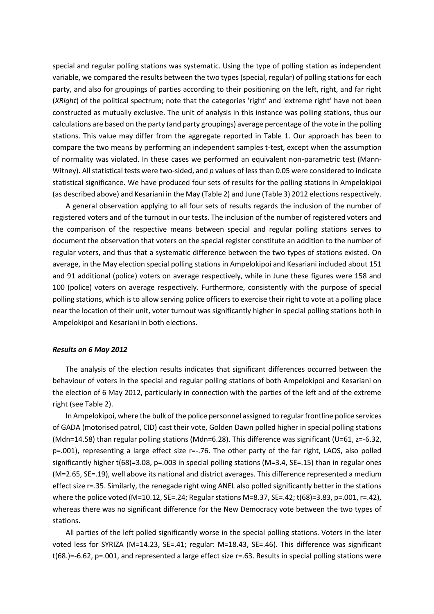special and regular polling stations was systematic. Using the type of polling station as independent variable, we compared the results between the two types (special, regular) of polling stations for each party, and also for groupings of parties according to their positioning on the left, right, and far right (*XRight*) of the political spectrum; note that the categories 'right' and 'extreme right' have not been constructed as mutually exclusive. The unit of analysis in this instance was polling stations, thus our calculations are based on the party (and party groupings) average percentage of the vote in the polling stations. This value may differ from the aggregate reported in Table 1. Our approach has been to compare the two means by performing an independent samples t-test, except when the assumption of normality was violated. In these cases we performed an equivalent non-parametric test (Mann-Witney). All statistical tests were two-sided, and *p* values of less than 0.05 were considered to indicate statistical significance. We have produced four sets of results for the polling stations in Ampelokipoi (as described above) and Kesariani in the May (Table 2) and June (Table 3) 2012 elections respectively.

A general observation applying to all four sets of results regards the inclusion of the number of registered voters and of the turnout in our tests. The inclusion of the number of registered voters and the comparison of the respective means between special and regular polling stations serves to document the observation that voters on the special register constitute an addition to the number of regular voters, and thus that a systematic difference between the two types of stations existed. On average, in the May election special polling stations in Ampelokipoi and Kesariani included about 151 and 91 additional (police) voters on average respectively, while in June these figures were 158 and 100 (police) voters on average respectively. Furthermore, consistently with the purpose of special polling stations, which is to allow serving police officers to exercise their right to vote at a polling place near the location of their unit, voter turnout was significantly higher in special polling stations both in Ampelokipoi and Kesariani in both elections.

### *Results on 6 May 2012*

The analysis of the election results indicates that significant differences occurred between the behaviour of voters in the special and regular polling stations of both Ampelokipoi and Kesariani on the election of 6 May 2012, particularly in connection with the parties of the left and of the extreme right (see Table 2).

In Ampelokipoi, where the bulk of the police personnel assigned to regular frontline police services of GADA (motorised patrol, CID) cast their vote, Golden Dawn polled higher in special polling stations (Mdn=14.58) than regular polling stations (Mdn=6.28). This difference was significant (U=61, z=-6.32, p=.001), representing a large effect size r=-.76. The other party of the far right, LAOS, also polled significantly higher t(68)=3.08, p=.003 in special polling stations (M=3.4, SE=.15) than in regular ones (M=2.65, SE=.19), well above its national and district averages. This difference represented a medium effect size r=.35. Similarly, the renegade right wing ANEL also polled significantly better in the stations where the police voted (M=10.12, SE=.24; Regular stations M=8.37, SE=.42; t(68)=3.83, p=.001, r=.42), whereas there was no significant difference for the New Democracy vote between the two types of stations.

All parties of the left polled significantly worse in the special polling stations. Voters in the later voted less for SYRIZA (M=14.23, SE=.41; regular: M=18.43, SE=.46). This difference was significant t(68.)=-6.62, p=.001, and represented a large effect size r=.63. Results in special polling stations were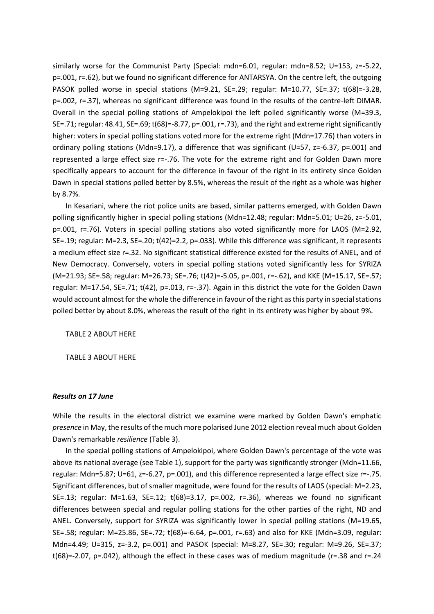similarly worse for the Communist Party (Special: mdn=6.01, regular: mdn=8.52; U=153, z=-5.22, p=.001, r=.62), but we found no significant difference for ANTARSYA. On the centre left, the outgoing PASOK polled worse in special stations (M=9.21, SE=.29; regular: M=10.77, SE=.37; t(68)=-3.28, p=.002, r=.37), whereas no significant difference was found in the results of the centre-left DIMAR. Overall in the special polling stations of Ampelokipoi the left polled significantly worse (M=39.3, SE=.71; regular: 48.41, SE=.69; t(68)=-8.77, p=.001, r=.73), and the right and extreme right significantly higher: voters in special polling stations voted more for the extreme right (Mdn=17.76) than voters in ordinary polling stations (Mdn=9.17), a difference that was significant (U=57, z=-6.37, p=.001) and represented a large effect size r=-.76. The vote for the extreme right and for Golden Dawn more specifically appears to account for the difference in favour of the right in its entirety since Golden Dawn in special stations polled better by 8.5%, whereas the result of the right as a whole was higher by 8.7%.

In Kesariani, where the riot police units are based, similar patterns emerged, with Golden Dawn polling significantly higher in special polling stations (Mdn=12.48; regular: Mdn=5.01; U=26, z=-5.01, p=.001, r=.76). Voters in special polling stations also voted significantly more for LAOS (M=2.92, SE=.19; regular: M=2.3, SE=.20; t(42)=2.2, p=.033). While this difference was significant, it represents a medium effect size r=.32. No significant statistical difference existed for the results of ANEL, and of New Democracy. Conversely, voters in special polling stations voted significantly less for SYRIZA (M=21.93; SE=.58; regular: M=26.73; SE=.76; t(42)=-5.05, p=.001, r=-.62), and KKE (M=15.17, SE=.57; regular: M=17.54, SE=.71; t(42), p=.013, r=-.37). Again in this district the vote for the Golden Dawn would account almost for the whole the difference in favour of the right as this party in special stations polled better by about 8.0%, whereas the result of the right in its entirety was higher by about 9%.

TABLE 2 ABOUT HERE

TABLE 3 ABOUT HERE

#### *Results on 17 June*

While the results in the electoral district we examine were marked by Golden Dawn's emphatic *presence* in May, the results of the much more polarised June 2012 election reveal much about Golden Dawn's remarkable *resilience* (Table 3).

In the special polling stations of Ampelokipoi, where Golden Dawn's percentage of the vote was above its national average (see Table 1), support for the party was significantly stronger (Mdn=11.66, regular: Mdn=5.87; U=61, z=-6.27, p=.001), and this difference represented a large effect size r=-.75. Significant differences, but of smaller magnitude, were found for the results of LAOS (special: M=2.23, SE=.13; regular: M=1.63, SE=.12; t(68)=3.17, p=.002, r=.36), whereas we found no significant differences between special and regular polling stations for the other parties of the right, ND and ANEL. Conversely, support for SYRIZA was significantly lower in special polling stations (M=19.65, SE=.58; regular: M=25.86, SE=.72; t(68)=-6.64, p=.001, r=.63) and also for KKE (Mdn=3.09, regular: Mdn=4.49; U=315, z=-3.2, p=.001) and PASOK (special: M=8.27, SE=.30; regular: M=9.26, SE=.37; t(68)=-2.07, p=.042), although the effect in these cases was of medium magnitude (r=.38 and r=.24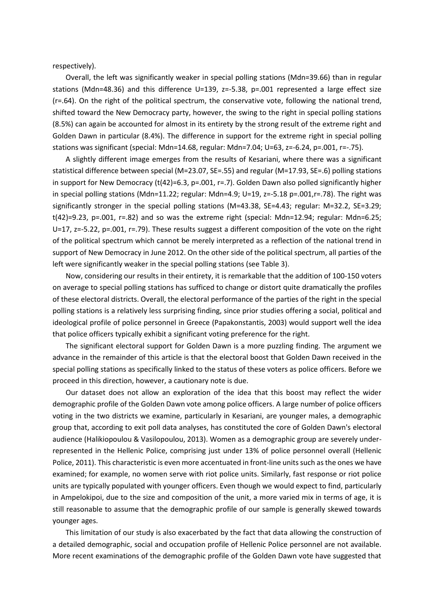respectively).

Overall, the left was significantly weaker in special polling stations (Mdn=39.66) than in regular stations (Mdn=48.36) and this difference U=139, z=-5.38, p=.001 represented a large effect size (r=.64). On the right of the political spectrum, the conservative vote, following the national trend, shifted toward the New Democracy party, however, the swing to the right in special polling stations (8.5%) can again be accounted for almost in its entirety by the strong result of the extreme right and Golden Dawn in particular (8.4%). The difference in support for the extreme right in special polling stations was significant (special: Mdn=14.68, regular: Mdn=7.04; U=63, z=-6.24, p=.001, r=-.75).

A slightly different image emerges from the results of Kesariani, where there was a significant statistical difference between special (M=23.07, SE=.55) and regular (M=17.93, SE=.6) polling stations in support for New Democracy ( $t(42)=6.3$ , p=.001, r=.7). Golden Dawn also polled significantly higher in special polling stations (Mdn=11.22; regular: Mdn=4.9; U=19, z=-5.18 p=.001,r=.78). The right was significantly stronger in the special polling stations (M=43.38, SE=4.43; regular: M=32.2, SE=3.29; t(42)=9.23, p=.001, r=.82) and so was the extreme right (special: Mdn=12.94; regular: Mdn=6.25; U=17, z=-5.22, p=.001, r=.79). These results suggest a different composition of the vote on the right of the political spectrum which cannot be merely interpreted as a reflection of the national trend in support of New Democracy in June 2012. On the other side of the political spectrum, all parties of the left were significantly weaker in the special polling stations (see Table 3).

Now, considering our results in their entirety, it is remarkable that the addition of 100-150 voters on average to special polling stations has sufficed to change or distort quite dramatically the profiles of these electoral districts. Overall, the electoral performance of the parties of the right in the special polling stations is a relatively less surprising finding, since prior studies offering a social, political and ideological profile of police personnel in Greece (Papakonstantis, 2003) would support well the idea that police officers typically exhibit a significant voting preference for the right.

The significant electoral support for Golden Dawn is a more puzzling finding. The argument we advance in the remainder of this article is that the electoral boost that Golden Dawn received in the special polling stations as specifically linked to the status of these voters as police officers. Before we proceed in this direction, however, a cautionary note is due.

Our dataset does not allow an exploration of the idea that this boost may reflect the wider demographic profile of the Golden Dawn vote among police officers. A large number of police officers voting in the two districts we examine, particularly in Kesariani, are younger males, a demographic group that, according to exit poll data analyses, has constituted the core of Golden Dawn's electoral audience (Halikiopoulou & Vasilopoulou, 2013). Women as a demographic group are severely underrepresented in the Hellenic Police, comprising just under 13% of police personnel overall (Hellenic Police, 2011). This characteristic is even more accentuated in front-line units such as the ones we have examined; for example, no women serve with riot police units. Similarly, fast response or riot police units are typically populated with younger officers. Even though we would expect to find, particularly in Ampelokipoi, due to the size and composition of the unit, a more varied mix in terms of age, it is still reasonable to assume that the demographic profile of our sample is generally skewed towards younger ages.

This limitation of our study is also exacerbated by the fact that data allowing the construction of a detailed demographic, social and occupation profile of Hellenic Police personnel are not available. More recent examinations of the demographic profile of the Golden Dawn vote have suggested that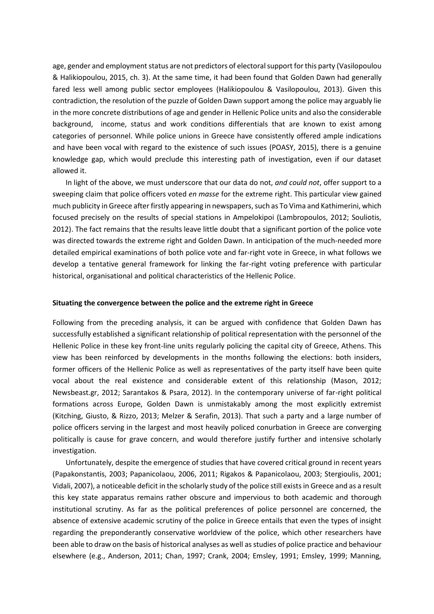age, gender and employment status are not predictors of electoral support for this party (Vasilopoulou & Halikiopoulou, 2015, ch. 3). At the same time, it had been found that Golden Dawn had generally fared less well among public sector employees (Halikiopoulou & Vasilopoulou, 2013). Given this contradiction, the resolution of the puzzle of Golden Dawn support among the police may arguably lie in the more concrete distributions of age and gender in Hellenic Police units and also the considerable background, income, status and work conditions differentials that are known to exist among categories of personnel. While police unions in Greece have consistently offered ample indications and have been vocal with regard to the existence of such issues (POASY, 2015), there is a genuine knowledge gap, which would preclude this interesting path of investigation, even if our dataset allowed it.

In light of the above, we must underscore that our data do not, *and could not*, offer support to a sweeping claim that police officers voted *en masse* for the extreme right. This particular view gained much publicity in Greece after firstly appearing in newspapers, such as To Vima and Kathimerini, which focused precisely on the results of special stations in Ampelokipoi (Lambropoulos, 2012; Souliotis, 2012). The fact remains that the results leave little doubt that a significant portion of the police vote was directed towards the extreme right and Golden Dawn. In anticipation of the much-needed more detailed empirical examinations of both police vote and far-right vote in Greece, in what follows we develop a tentative general framework for linking the far-right voting preference with particular historical, organisational and political characteristics of the Hellenic Police.

### **Situating the convergence between the police and the extreme right in Greece**

Following from the preceding analysis, it can be argued with confidence that Golden Dawn has successfully established a significant relationship of political representation with the personnel of the Hellenic Police in these key front-line units regularly policing the capital city of Greece, Athens. This view has been reinforced by developments in the months following the elections: both insiders, former officers of the Hellenic Police as well as representatives of the party itself have been quite vocal about the real existence and considerable extent of this relationship (Mason, 2012; Newsbeast.gr, 2012; Sarantakos & Psara, 2012). In the contemporary universe of far-right political formations across Europe, Golden Dawn is unmistakably among the most explicitly extremist (Kitching, Giusto, & Rizzo, 2013; Melzer & Serafin, 2013). That such a party and a large number of police officers serving in the largest and most heavily policed conurbation in Greece are converging politically is cause for grave concern, and would therefore justify further and intensive scholarly investigation.

Unfortunately, despite the emergence of studies that have covered critical ground in recent years (Papakonstantis, 2003; Papanicolaou, 2006, 2011; Rigakos & Papanicolaou, 2003; Stergioulis, 2001; Vidali, 2007), a noticeable deficit in the scholarly study of the police still exists in Greece and as a result this key state apparatus remains rather obscure and impervious to both academic and thorough institutional scrutiny. As far as the political preferences of police personnel are concerned, the absence of extensive academic scrutiny of the police in Greece entails that even the types of insight regarding the preponderantly conservative worldview of the police, which other researchers have been able to draw on the basis of historical analyses as well as studies of police practice and behaviour elsewhere (e.g., Anderson, 2011; Chan, 1997; Crank, 2004; Emsley, 1991; Emsley, 1999; Manning,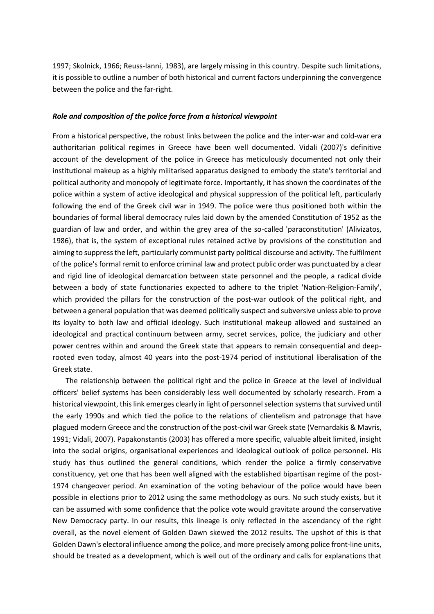1997; Skolnick, 1966; Reuss-Ianni, 1983), are largely missing in this country. Despite such limitations, it is possible to outline a number of both historical and current factors underpinning the convergence between the police and the far-right.

### *Role and composition of the police force from a historical viewpoint*

From a historical perspective, the robust links between the police and the inter-war and cold-war era authoritarian political regimes in Greece have been well documented. Vidali (2007)'s definitive account of the development of the police in Greece has meticulously documented not only their institutional makeup as a highly militarised apparatus designed to embody the state's territorial and political authority and monopoly of legitimate force. Importantly, it has shown the coordinates of the police within a system of active ideological and physical suppression of the political left, particularly following the end of the Greek civil war in 1949. The police were thus positioned both within the boundaries of formal liberal democracy rules laid down by the amended Constitution of 1952 as the guardian of law and order, and within the grey area of the so-called 'paraconstitution' (Alivizatos, 1986), that is, the system of exceptional rules retained active by provisions of the constitution and aiming to suppress the left, particularly communist party political discourse and activity. The fulfilment of the police's formal remit to enforce criminal law and protect public order was punctuated by a clear and rigid line of ideological demarcation between state personnel and the people, a radical divide between a body of state functionaries expected to adhere to the triplet 'Nation-Religion-Family', which provided the pillars for the construction of the post-war outlook of the political right, and between a general population that was deemed politically suspect and subversive unless able to prove its loyalty to both law and official ideology. Such institutional makeup allowed and sustained an ideological and practical continuum between army, secret services, police, the judiciary and other power centres within and around the Greek state that appears to remain consequential and deeprooted even today, almost 40 years into the post-1974 period of institutional liberalisation of the Greek state.

The relationship between the political right and the police in Greece at the level of individual officers' belief systems has been considerably less well documented by scholarly research. From a historical viewpoint, this link emerges clearly in light of personnel selection systems that survived until the early 1990s and which tied the police to the relations of clientelism and patronage that have plagued modern Greece and the construction of the post-civil war Greek state (Vernardakis & Mavris, 1991; Vidali, 2007). Papakonstantis (2003) has offered a more specific, valuable albeit limited, insight into the social origins, organisational experiences and ideological outlook of police personnel. His study has thus outlined the general conditions, which render the police a firmly conservative constituency, yet one that has been well aligned with the established bipartisan regime of the post-1974 changeover period. An examination of the voting behaviour of the police would have been possible in elections prior to 2012 using the same methodology as ours. No such study exists, but it can be assumed with some confidence that the police vote would gravitate around the conservative New Democracy party. In our results, this lineage is only reflected in the ascendancy of the right overall, as the novel element of Golden Dawn skewed the 2012 results. The upshot of this is that Golden Dawn's electoral influence among the police, and more precisely among police front-line units, should be treated as a development, which is well out of the ordinary and calls for explanations that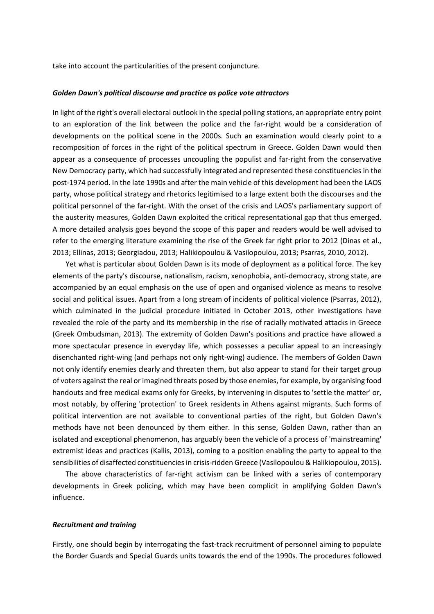take into account the particularities of the present conjuncture.

#### *Golden Dawn's political discourse and practice as police vote attractors*

In light of the right's overall electoral outlook in the special polling stations, an appropriate entry point to an exploration of the link between the police and the far-right would be a consideration of developments on the political scene in the 2000s. Such an examination would clearly point to a recomposition of forces in the right of the political spectrum in Greece. Golden Dawn would then appear as a consequence of processes uncoupling the populist and far-right from the conservative New Democracy party, which had successfully integrated and represented these constituencies in the post-1974 period. In the late 1990s and after the main vehicle of this development had been the LAOS party, whose political strategy and rhetorics legitimised to a large extent both the discourses and the political personnel of the far-right. With the onset of the crisis and LAOS's parliamentary support of the austerity measures, Golden Dawn exploited the critical representational gap that thus emerged. A more detailed analysis goes beyond the scope of this paper and readers would be well advised to refer to the emerging literature examining the rise of the Greek far right prior to 2012 (Dinas et al., 2013; Ellinas, 2013; Georgiadou, 2013; Halikiopoulou & Vasilopoulou, 2013; Psarras, 2010, 2012).

Yet what is particular about Golden Dawn is its mode of deployment as a political force. The key elements of the party's discourse, nationalism, racism, xenophobia, anti-democracy, strong state, are accompanied by an equal emphasis on the use of open and organised violence as means to resolve social and political issues. Apart from a long stream of incidents of political violence (Psarras, 2012), which culminated in the judicial procedure initiated in October 2013, other investigations have revealed the role of the party and its membership in the rise of racially motivated attacks in Greece (Greek Ombudsman, 2013). The extremity of Golden Dawn's positions and practice have allowed a more spectacular presence in everyday life, which possesses a peculiar appeal to an increasingly disenchanted right-wing (and perhaps not only right-wing) audience. The members of Golden Dawn not only identify enemies clearly and threaten them, but also appear to stand for their target group of voters against the real or imagined threats posed by those enemies, for example, by organising food handouts and free medical exams only for Greeks, by intervening in disputes to 'settle the matter' or, most notably, by offering 'protection' to Greek residents in Athens against migrants. Such forms of political intervention are not available to conventional parties of the right, but Golden Dawn's methods have not been denounced by them either. In this sense, Golden Dawn, rather than an isolated and exceptional phenomenon, has arguably been the vehicle of a process of 'mainstreaming' extremist ideas and practices (Kallis, 2013), coming to a position enabling the party to appeal to the sensibilities of disaffected constituencies in crisis-ridden Greece (Vasilopoulou & Halikiopoulou, 2015).

The above characteristics of far-right activism can be linked with a series of contemporary developments in Greek policing, which may have been complicit in amplifying Golden Dawn's influence.

### *Recruitment and training*

Firstly, one should begin by interrogating the fast-track recruitment of personnel aiming to populate the Border Guards and Special Guards units towards the end of the 1990s. The procedures followed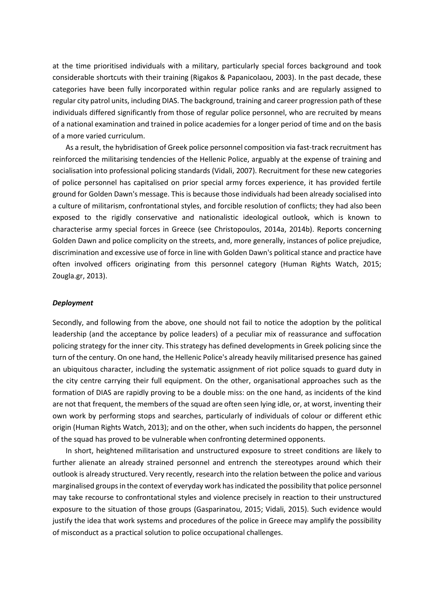at the time prioritised individuals with a military, particularly special forces background and took considerable shortcuts with their training (Rigakos & Papanicolaou, 2003). In the past decade, these categories have been fully incorporated within regular police ranks and are regularly assigned to regular city patrol units, including DIAS. The background, training and career progression path of these individuals differed significantly from those of regular police personnel, who are recruited by means of a national examination and trained in police academies for a longer period of time and on the basis of a more varied curriculum.

As a result, the hybridisation of Greek police personnel composition via fast-track recruitment has reinforced the militarising tendencies of the Hellenic Police, arguably at the expense of training and socialisation into professional policing standards (Vidali, 2007). Recruitment for these new categories of police personnel has capitalised on prior special army forces experience, it has provided fertile ground for Golden Dawn's message. This is because those individuals had been already socialised into a culture of militarism, confrontational styles, and forcible resolution of conflicts; they had also been exposed to the rigidly conservative and nationalistic ideological outlook, which is known to characterise army special forces in Greece (see Christopoulos, 2014a, 2014b). Reports concerning Golden Dawn and police complicity on the streets, and, more generally, instances of police prejudice, discrimination and excessive use of force in line with Golden Dawn's political stance and practice have often involved officers originating from this personnel category (Human Rights Watch, 2015; Zougla.gr, 2013).

#### *Deployment*

Secondly, and following from the above, one should not fail to notice the adoption by the political leadership (and the acceptance by police leaders) of a peculiar mix of reassurance and suffocation policing strategy for the inner city. This strategy has defined developments in Greek policing since the turn of the century. On one hand, the Hellenic Police's already heavily militarised presence has gained an ubiquitous character, including the systematic assignment of riot police squads to guard duty in the city centre carrying their full equipment. On the other, organisational approaches such as the formation of DIAS are rapidly proving to be a double miss: on the one hand, as incidents of the kind are not that frequent, the members of the squad are often seen lying idle, or, at worst, inventing their own work by performing stops and searches, particularly of individuals of colour or different ethic origin (Human Rights Watch, 2013); and on the other, when such incidents do happen, the personnel of the squad has proved to be vulnerable when confronting determined opponents.

In short, heightened militarisation and unstructured exposure to street conditions are likely to further alienate an already strained personnel and entrench the stereotypes around which their outlook is already structured. Very recently, research into the relation between the police and various marginalised groups in the context of everyday work has indicated the possibility that police personnel may take recourse to confrontational styles and violence precisely in reaction to their unstructured exposure to the situation of those groups (Gasparinatou, 2015; Vidali, 2015). Such evidence would justify the idea that work systems and procedures of the police in Greece may amplify the possibility of misconduct as a practical solution to police occupational challenges.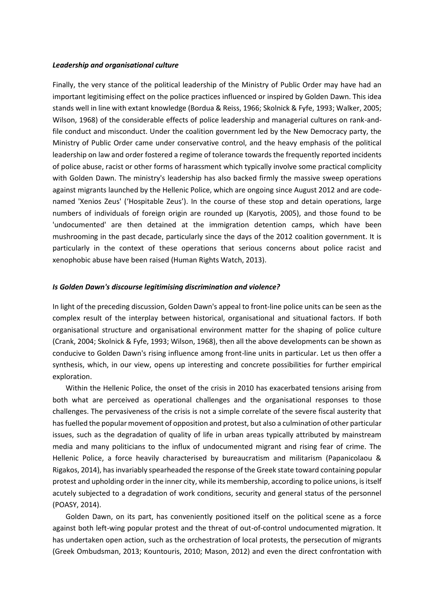### *Leadership and organisational culture*

Finally, the very stance of the political leadership of the Ministry of Public Order may have had an important legitimising effect on the police practices influenced or inspired by Golden Dawn. This idea stands well in line with extant knowledge (Bordua & Reiss, 1966; Skolnick & Fyfe, 1993; Walker, 2005; Wilson, 1968) of the considerable effects of police leadership and managerial cultures on rank-andfile conduct and misconduct. Under the coalition government led by the New Democracy party, the Ministry of Public Order came under conservative control, and the heavy emphasis of the political leadership on law and order fostered a regime of tolerance towards the frequently reported incidents of police abuse, racist or other forms of harassment which typically involve some practical complicity with Golden Dawn. The ministry's leadership has also backed firmly the massive sweep operations against migrants launched by the Hellenic Police, which are ongoing since August 2012 and are codenamed 'Xenios Zeus' ('Hospitable Zeus'). In the course of these stop and detain operations, large numbers of individuals of foreign origin are rounded up (Karyotis, 2005), and those found to be 'undocumented' are then detained at the immigration detention camps, which have been mushrooming in the past decade, particularly since the days of the 2012 coalition government. It is particularly in the context of these operations that serious concerns about police racist and xenophobic abuse have been raised (Human Rights Watch, 2013).

### *Is Golden Dawn's discourse legitimising discrimination and violence?*

In light of the preceding discussion, Golden Dawn's appeal to front-line police units can be seen as the complex result of the interplay between historical, organisational and situational factors. If both organisational structure and organisational environment matter for the shaping of police culture (Crank, 2004; Skolnick & Fyfe, 1993; Wilson, 1968), then all the above developments can be shown as conducive to Golden Dawn's rising influence among front-line units in particular. Let us then offer a synthesis, which, in our view, opens up interesting and concrete possibilities for further empirical exploration.

Within the Hellenic Police, the onset of the crisis in 2010 has exacerbated tensions arising from both what are perceived as operational challenges and the organisational responses to those challenges. The pervasiveness of the crisis is not a simple correlate of the severe fiscal austerity that has fuelled the popular movement of opposition and protest, but also a culmination of other particular issues, such as the degradation of quality of life in urban areas typically attributed by mainstream media and many politicians to the influx of undocumented migrant and rising fear of crime. The Hellenic Police, a force heavily characterised by bureaucratism and militarism (Papanicolaou & Rigakos, 2014), has invariably spearheaded the response of the Greek state toward containing popular protest and upholding order in the inner city, while its membership, according to police unions, is itself acutely subjected to a degradation of work conditions, security and general status of the personnel (POASY, 2014).

Golden Dawn, on its part, has conveniently positioned itself on the political scene as a force against both left-wing popular protest and the threat of out-of-control undocumented migration. It has undertaken open action, such as the orchestration of local protests, the persecution of migrants (Greek Ombudsman, 2013; Kountouris, 2010; Mason, 2012) and even the direct confrontation with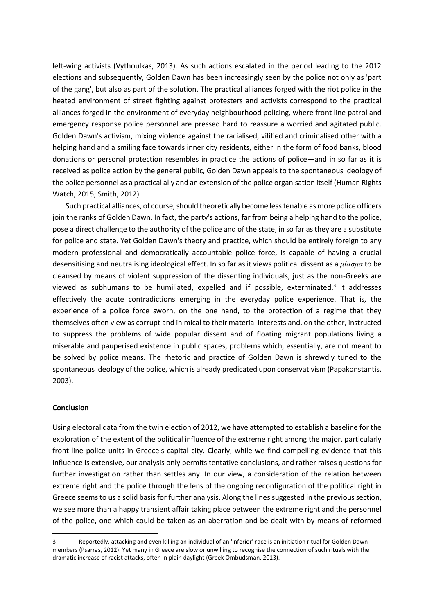left-wing activists (Vythoulkas, 2013). As such actions escalated in the period leading to the 2012 elections and subsequently, Golden Dawn has been increasingly seen by the police not only as 'part of the gang', but also as part of the solution. The practical alliances forged with the riot police in the heated environment of street fighting against protesters and activists correspond to the practical alliances forged in the environment of everyday neighbourhood policing, where front line patrol and emergency response police personnel are pressed hard to reassure a worried and agitated public. Golden Dawn's activism, mixing violence against the racialised, vilified and criminalised other with a helping hand and a smiling face towards inner city residents, either in the form of food banks, blood donations or personal protection resembles in practice the actions of police—and in so far as it is received as police action by the general public, Golden Dawn appeals to the spontaneous ideology of the police personnel as a practical ally and an extension of the police organisation itself (Human Rights Watch, 2015; Smith, 2012).

Such practical alliances, of course, should theoretically become less tenable as more police officers join the ranks of Golden Dawn. In fact, the party's actions, far from being a helping hand to the police, pose a direct challenge to the authority of the police and of the state, in so far as they are a substitute for police and state. Yet Golden Dawn's theory and practice, which should be entirely foreign to any modern professional and democratically accountable police force, is capable of having a crucial desensitising and neutralising ideological effect. In so far as it views political dissent as a *μίασμα* to be cleansed by means of violent suppression of the dissenting individuals, just as the non-Greeks are viewed as subhumans to be humiliated, expelled and if possible, exterminated,<sup>3</sup> it addresses effectively the acute contradictions emerging in the everyday police experience. That is, the experience of a police force sworn, on the one hand, to the protection of a regime that they themselves often view as corrupt and inimical to their material interests and, on the other, instructed to suppress the problems of wide popular dissent and of floating migrant populations living a miserable and pauperised existence in public spaces, problems which, essentially, are not meant to be solved by police means. The rhetoric and practice of Golden Dawn is shrewdly tuned to the spontaneous ideology of the police, which is already predicated upon conservativism (Papakonstantis, 2003).

### **Conclusion**

 $\overline{a}$ 

Using electoral data from the twin election of 2012, we have attempted to establish a baseline for the exploration of the extent of the political influence of the extreme right among the major, particularly front-line police units in Greece's capital city. Clearly, while we find compelling evidence that this influence is extensive, our analysis only permits tentative conclusions, and rather raises questions for further investigation rather than settles any. In our view, a consideration of the relation between extreme right and the police through the lens of the ongoing reconfiguration of the political right in Greece seems to us a solid basis for further analysis. Along the lines suggested in the previous section, we see more than a happy transient affair taking place between the extreme right and the personnel of the police, one which could be taken as an aberration and be dealt with by means of reformed

<sup>3</sup> Reportedly, attacking and even killing an individual of an 'inferior' race is an initiation ritual for Golden Dawn members (Psarras, 2012). Yet many in Greece are slow or unwilling to recognise the connection of such rituals with the dramatic increase of racist attacks, often in plain daylight (Greek Ombudsman, 2013).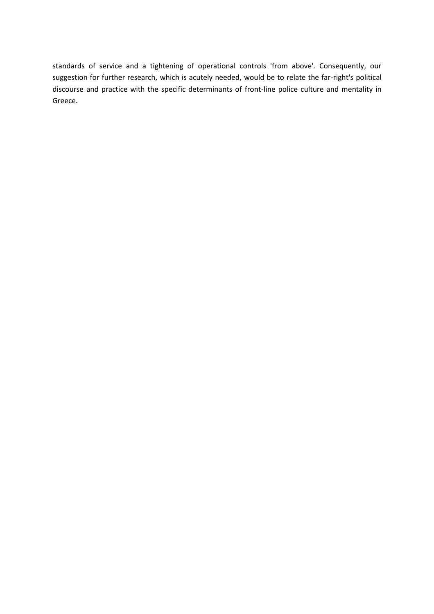standards of service and a tightening of operational controls 'from above'. Consequently, our suggestion for further research, which is acutely needed, would be to relate the far-right's political discourse and practice with the specific determinants of front-line police culture and mentality in Greece.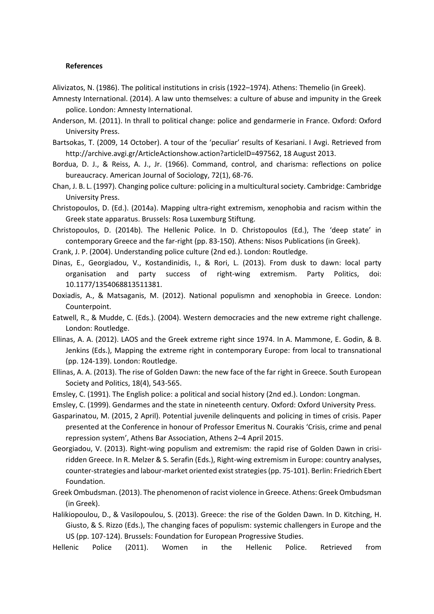### **References**

Alivizatos, N. (1986). The political institutions in crisis (1922–1974). Athens: Themelio (in Greek).

- Amnesty International. (2014). A law unto themselves: a culture of abuse and impunity in the Greek police. London: Amnesty International.
- Anderson, M. (2011). In thrall to political change: police and gendarmerie in France. Oxford: Oxford University Press.
- Bartsokas, T. (2009, 14 October). A tour of the 'peculiar' results of Kesariani. I Avgi. Retrieved from http://archive.avgi.gr/ArticleActionshow.action?articleID=497562, 18 August 2013.
- Bordua, D. J., & Reiss, A. J., Jr. (1966). Command, control, and charisma: reflections on police bureaucracy. American Journal of Sociology, 72(1), 68-76.
- Chan, J. B. L. (1997). Changing police culture: policing in a multicultural society. Cambridge: Cambridge University Press.
- Christopoulos, D. (Ed.). (2014a). Mapping ultra-right extremism, xenophobia and racism within the Greek state apparatus. Brussels: Rosa Luxemburg Stiftung.
- Christopoulos, D. (2014b). The Hellenic Police. In D. Christopoulos (Ed.), The 'deep state' in contemporary Greece and the far-right (pp. 83-150). Athens: Nisos Publications (in Greek).
- Crank, J. P. (2004). Understanding police culture (2nd ed.). London: Routledge.
- Dinas, E., Georgiadou, V., Kostandinidis, I., & Rori, L. (2013). From dusk to dawn: local party organisation and party success of right-wing extremism. Party Politics, doi: 10.1177/1354068813511381.
- Doxiadis, A., & Matsaganis, M. (2012). National populismn and xenophobia in Greece. London: Counterpoint.
- Eatwell, R., & Mudde, C. (Eds.). (2004). Western democracies and the new extreme right challenge. London: Routledge.
- Ellinas, A. A. (2012). LAOS and the Greek extreme right since 1974. In A. Mammone, E. Godin, & B. Jenkins (Eds.), Mapping the extreme right in contemporary Europe: from local to transnational (pp. 124-139). London: Routledge.
- Ellinas, A. A. (2013). The rise of Golden Dawn: the new face of the far right in Greece. South European Society and Politics, 18(4), 543-565.
- Emsley, C. (1991). The English police: a political and social history (2nd ed.). London: Longman.
- Emsley, C. (1999). Gendarmes and the state in nineteenth century. Oxford: Oxford University Press.
- Gasparinatou, M. (2015, 2 April). Potential juvenile delinquents and policing in times of crisis. Paper presented at the Conference in honour of Professor Emeritus N. Courakis 'Crisis, crime and penal repression system', Athens Bar Association, Athens 2–4 April 2015.
- Georgiadou, V. (2013). Right-wing populism and extremism: the rapid rise of Golden Dawn in crisiridden Greece. In R. Melzer & S. Serafin (Eds.), Right-wing extremism in Europe: country analyses, counter-strategies and labour-market oriented exist strategies (pp. 75-101). Berlin: Friedrich Ebert Foundation.
- Greek Ombudsman. (2013). The phenomenon of racist violence in Greece. Athens: Greek Ombudsman (in Greek).
- Halikiopoulou, D., & Vasilopoulou, S. (2013). Greece: the rise of the Golden Dawn. In D. Kitching, H. Giusto, & S. Rizzo (Eds.), The changing faces of populism: systemic challengers in Europe and the US (pp. 107-124). Brussels: Foundation for European Progressive Studies.

Hellenic Police (2011). Women in the Hellenic Police. Retrieved from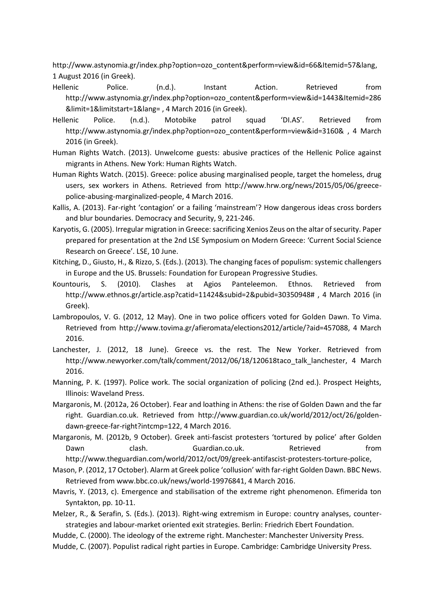http://www.astynomia.gr/index.php?option=ozo\_content&perform=view&id=66&Itemid=57&lang, 1 August 2016 (in Greek).

- Hellenic Police. (n.d.). Instant Action. Retrieved from http://www.astynomia.gr/index.php?option=ozo\_content&perform=view&id=1443&Itemid=286 &limit=1&limitstart=1&lang= , 4 March 2016 (in Greek).
- Hellenic Police. (n.d.). Motobike patrol squad 'DI.AS'. Retrieved from http://www.astynomia.gr/index.php?option=ozo\_content&perform=view&id=3160& , 4 March 2016 (in Greek).
- Human Rights Watch. (2013). Unwelcome guests: abusive practices of the Hellenic Police against migrants in Athens. New York: Human Rights Watch.
- Human Rights Watch. (2015). Greece: police abusing marginalised people, target the homeless, drug users, sex workers in Athens. Retrieved from http://www.hrw.org/news/2015/05/06/greecepolice-abusing-marginalized-people, 4 March 2016.
- Kallis, A. (2013). Far-right 'contagion' or a failing 'mainstream'? How dangerous ideas cross borders and blur boundaries. Democracy and Security, 9, 221-246.
- Karyotis, G. (2005). Irregular migration in Greece: sacrificing Xenios Zeus on the altar of security. Paper prepared for presentation at the 2nd LSE Symposium on Modern Greece: 'Current Social Science Research on Greece'. LSE, 10 June.
- Kitching, D., Giusto, H., & Rizzo, S. (Eds.). (2013). The changing faces of populism: systemic challengers in Europe and the US. Brussels: Foundation for European Progressive Studies.
- Kountouris, S. (2010). Clashes at Agios Panteleemon. Ethnos. Retrieved from http://www.ethnos.gr/article.asp?catid=11424&subid=2&pubid=30350948# , 4 March 2016 (in Greek).
- Lambropoulos, V. G. (2012, 12 May). One in two police officers voted for Golden Dawn. To Vima. Retrieved from http://www.tovima.gr/afieromata/elections2012/article/?aid=457088, 4 March 2016.
- Lanchester, J. (2012, 18 June). Greece vs. the rest. The New Yorker. Retrieved from http://www.newyorker.com/talk/comment/2012/06/18/120618taco\_talk\_lanchester, 4 March 2016.
- Manning, P. K. (1997). Police work. The social organization of policing (2nd ed.). Prospect Heights, Illinois: Waveland Press.
- Margaronis, M. (2012a, 26 October). Fear and loathing in Athens: the rise of Golden Dawn and the far right. Guardian.co.uk. Retrieved from http://www.guardian.co.uk/world/2012/oct/26/goldendawn-greece-far-right?intcmp=122, 4 March 2016.
- Margaronis, M. (2012b, 9 October). Greek anti-fascist protesters 'tortured by police' after Golden Dawn clash. Guardian.co.uk. Retrieved from http://www.theguardian.com/world/2012/oct/09/greek-antifascist-protesters-torture-police,
- Mason, P. (2012, 17 October). Alarm at Greek police 'collusion' with far-right Golden Dawn. BBC News. Retrieved from www.bbc.co.uk/news/world-19976841, 4 March 2016.
- Mavris, Y. (2013, c). Emergence and stabilisation of the extreme right phenomenon. Efimerida ton Syntakton, pp. 10-11.
- Melzer, R., & Serafin, S. (Eds.). (2013). Right-wing extremism in Europe: country analyses, counterstrategies and labour-market oriented exit strategies. Berlin: Friedrich Ebert Foundation.
- Mudde, C. (2000). The ideology of the extreme right. Manchester: Manchester University Press.
- Mudde, C. (2007). Populist radical right parties in Europe. Cambridge: Cambridge University Press.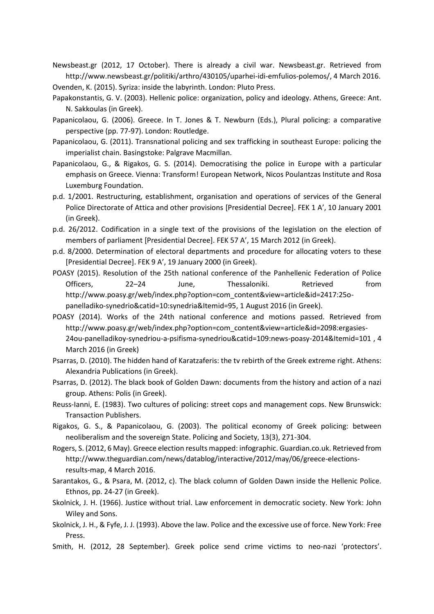Newsbeast.gr (2012, 17 October). There is already a civil war. Newsbeast.gr. Retrieved from http://www.newsbeast.gr/politiki/arthro/430105/uparhei-idi-emfulios-polemos/, 4 March 2016. Ovenden, K. (2015). Syriza: inside the labyrinth. London: Pluto Press.

- Papakonstantis, G. V. (2003). Hellenic police: organization, policy and ideology. Athens, Greece: Ant. N. Sakkoulas (in Greek).
- Papanicolaou, G. (2006). Greece. In T. Jones & T. Newburn (Eds.), Plural policing: a comparative perspective (pp. 77-97). London: Routledge.
- Papanicolaou, G. (2011). Transnational policing and sex trafficking in southeast Europe: policing the imperialist chain. Basingstoke: Palgrave Macmillan.
- Papanicolaou, G., & Rigakos, G. S. (2014). Democratising the police in Europe with a particular emphasis on Greece. Vienna: Transform! European Network, Nicos Poulantzas Institute and Rosa Luxemburg Foundation.
- p.d. 1/2001. Restructuring, establishment, organisation and operations of services of the General Police Directorate of Attica and other provisions [Presidential Decree]. FEK 1 Α', 10 January 2001 (in Greek).
- p.d. 26/2012. Codification in a single text of the provisions of the legislation on the election of members of parliament [Presidential Decree]. FEK 57 Α', 15 March 2012 (in Greek).
- p.d. 8/2000. Determination of electoral departments and procedure for allocating voters to these [Presidential Decree]. FEK 9 A', 19 January 2000 (in Greek).
- POASY (2015). Resolution of the 25th national conference of the Panhellenic Federation of Police Officers, 22–24 June, Thessaloniki. Retrieved from http://www.poasy.gr/web/index.php?option=com\_content&view=article&id=2417:25opanelladiko-synedrio&catid=10:synedria&Itemid=95, 1 August 2016 (in Greek).
- POASY (2014). Works of the 24th national conference and motions passed. Retrieved from http://www.poasy.gr/web/index.php?option=com\_content&view=article&id=2098:ergasies-24ou-panelladikoy-synedriou-a-psifisma-synedriou&catid=109:news-poasy-2014&Itemid=101 , 4 March 2016 (in Greek)
- Psarras, D. (2010). The hidden hand of Karatzaferis: the tv rebirth of the Greek extreme right. Athens: Alexandria Publications (in Greek).
- Psarras, D. (2012). The black book of Golden Dawn: documents from the history and action of a nazi group. Athens: Polis (in Greek).
- Reuss-Ianni, E. (1983). Two cultures of policing: street cops and management cops. New Brunswick: Transaction Publishers.
- Rigakos, G. S., & Papanicolaou, G. (2003). The political economy of Greek policing: between neoliberalism and the sovereign State. Policing and Society, 13(3), 271-304.
- Rogers, S. (2012, 6 May). Greece election results mapped: infographic. Guardian.co.uk. Retrieved from http://www.theguardian.com/news/datablog/interactive/2012/may/06/greece-electionsresults-map, 4 March 2016.
- Sarantakos, G., & Psara, M. (2012, c). The black column of Golden Dawn inside the Hellenic Police. Ethnos, pp. 24-27 (in Greek).
- Skolnick, J. H. (1966). Justice without trial. Law enforcement in democratic society. New York: John Wiley and Sons.
- Skolnick, J. H., & Fyfe, J. J. (1993). Above the law. Police and the excessive use of force. New York: Free Press.
- Smith, H. (2012, 28 September). Greek police send crime victims to neo-nazi 'protectors'.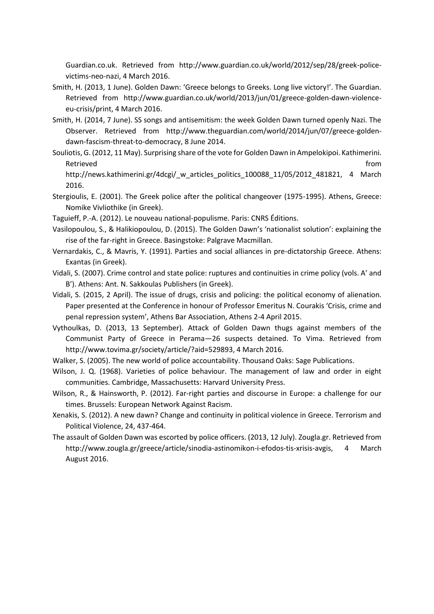Guardian.co.uk. Retrieved from http://www.guardian.co.uk/world/2012/sep/28/greek-policevictims-neo-nazi, 4 March 2016.

- Smith, H. (2013, 1 June). Golden Dawn: 'Greece belongs to Greeks. Long live victory!'. The Guardian. Retrieved from http://www.guardian.co.uk/world/2013/jun/01/greece-golden-dawn-violenceeu-crisis/print, 4 March 2016.
- Smith, H. (2014, 7 June). SS songs and antisemitism: the week Golden Dawn turned openly Nazi. The Observer. Retrieved from http://www.theguardian.com/world/2014/jun/07/greece-goldendawn-fascism-threat-to-democracy, 8 June 2014.
- Souliotis, G. (2012, 11 May). Surprising share of the vote for Golden Dawn in Ampelokipoi. Kathimerini. Retrieved **from** http://news.kathimerini.gr/4dcgi/\_w\_articles\_politics\_100088\_11/05/2012\_481821, 4 March 2016.
- Stergioulis, E. (2001). The Greek police after the political changeover (1975-1995). Athens, Greece: Nomike Vivliothike (in Greek).
- Taguieff, P.-A. (2012). Le nouveau national-populisme. Paris: CNRS Éditions.
- Vasilopoulou, S., & Halikiopoulou, D. (2015). The Golden Dawn's 'nationalist solution': explaining the rise of the far-right in Greece. Basingstoke: Palgrave Macmillan.
- Vernardakis, C., & Mavris, Y. (1991). Parties and social alliances in pre-dictatorship Greece. Athens: Exantas (in Greek).
- Vidali, S. (2007). Crime control and state police: ruptures and continuities in crime policy (vols. A' and B'). Athens: Ant. N. Sakkoulas Publishers (in Greek).
- Vidali, S. (2015, 2 April). The issue of drugs, crisis and policing: the political economy of alienation. Paper presented at the Conference in honour of Professor Emeritus N. Courakis 'Crisis, crime and penal repression system', Athens Bar Association, Athens 2-4 April 2015.
- Vythoulkas, D. (2013, 13 September). Attack of Golden Dawn thugs against members of the Communist Party of Greece in Perama—26 suspects detained. To Vima. Retrieved from http://www.tovima.gr/society/article/?aid=529893, 4 March 2016.
- Walker, S. (2005). The new world of police accountability. Thousand Oaks: Sage Publications.
- Wilson, J. Q. (1968). Varieties of police behaviour. The management of law and order in eight communities. Cambridge, Massachusetts: Harvard University Press.
- Wilson, R., & Hainsworth, P. (2012). Far-right parties and discourse in Europe: a challenge for our times. Brussels: European Network Against Racism.
- Xenakis, S. (2012). A new dawn? Change and continuity in political violence in Greece. Terrorism and Political Violence, 24, 437-464.
- The assault of Golden Dawn was escorted by police officers. (2013, 12 July). Zougla.gr. Retrieved from http://www.zougla.gr/greece/article/sinodia-astinomikon-i-efodos-tis-xrisis-avgis, 4 March August 2016.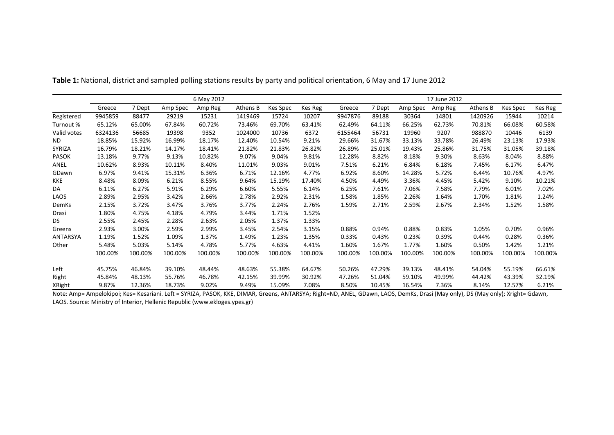|                 |         |         |          | 6 May 2012 |          |          | 17 June 2012 |         |         |          |         |          |          |         |  |
|-----------------|---------|---------|----------|------------|----------|----------|--------------|---------|---------|----------|---------|----------|----------|---------|--|
|                 | Greece  | 7 Dept  | Amp Spec | Amp Reg    | Athens B | Kes Spec | Kes Reg      | Greece  | 7 Dept  | Amp Spec | Amp Reg | Athens B | Kes Spec | Kes Reg |  |
| Registered      | 9945859 | 88477   | 29219    | 15231      | 1419469  | 15724    | 10207        | 9947876 | 89188   | 30364    | 14801   | 1420926  | 15944    | 10214   |  |
| Turnout %       | 65.12%  | 65.00%  | 67.84%   | 60.72%     | 73.46%   | 69.70%   | 63.41%       | 62.49%  | 64.11%  | 66.25%   | 62.73%  | 70.81%   | 66.08%   | 60.58%  |  |
| Valid votes     | 6324136 | 56685   | 19398    | 9352       | 1024000  | 10736    | 6372         | 6155464 | 56731   | 19960    | 9207    | 988870   | 10446    | 6139    |  |
| ND.             | 18.85%  | 15.92%  | 16.99%   | 18.17%     | 12.40%   | 10.54%   | 9.21%        | 29.66%  | 31.67%  | 33.13%   | 33.78%  | 26.49%   | 23.13%   | 17.93%  |  |
| <b>SYRIZA</b>   | 16.79%  | 18.21%  | 14.17%   | 18.41%     | 21.82%   | 21.83%   | 26.82%       | 26.89%  | 25.01%  | 19.43%   | 25.86%  | 31.75%   | 31.05%   | 39.18%  |  |
| <b>PASOK</b>    | 13.18%  | 9.77%   | 9.13%    | 10.82%     | 9.07%    | 9.04%    | 9.81%        | 12.28%  | 8.82%   | 8.18%    | 9.30%   | 8.63%    | 8.04%    | 8.88%   |  |
| ANEL            | 10.62%  | 8.93%   | 10.11%   | 8.40%      | 11.01%   | 9.03%    | 9.01%        | 7.51%   | 6.21%   | 6.84%    | 6.18%   | 7.45%    | 6.17%    | 6.47%   |  |
| GDawn           | 6.97%   | 9.41%   | 15.31%   | 6.36%      | 6.71%    | 12.16%   | 4.77%        | 6.92%   | 8.60%   | 14.28%   | 5.72%   | 6.44%    | 10.76%   | 4.97%   |  |
| KKE             | 8.48%   | 8.09%   | 6.21%    | 8.55%      | 9.64%    | 15.19%   | 17.40%       | 4.50%   | 4.49%   | 3.36%    | 4.45%   | 5.42%    | 9.10%    | 10.21%  |  |
| DA              | 6.11%   | 6.27%   | 5.91%    | 6.29%      | 6.60%    | 5.55%    | 6.14%        | 6.25%   | 7.61%   | 7.06%    | 7.58%   | 7.79%    | 6.01%    | 7.02%   |  |
| LAOS            | 2.89%   | 2.95%   | 3.42%    | 2.66%      | 2.78%    | 2.92%    | 2.31%        | 1.58%   | 1.85%   | 2.26%    | 1.64%   | 1.70%    | 1.81%    | 1.24%   |  |
| DemKs           | 2.15%   | 3.72%   | 3.47%    | 3.76%      | 3.77%    | 2.24%    | 2.76%        | 1.59%   | 2.71%   | 2.59%    | 2.67%   | 2.34%    | 1.52%    | 1.58%   |  |
| Drasi           | 1.80%   | 4.75%   | 4.18%    | 4.79%      | 3.44%    | 1.71%    | 1.52%        |         |         |          |         |          |          |         |  |
| DS.             | 2.55%   | 2.45%   | 2.28%    | 2.63%      | 2.05%    | 1.37%    | 1.33%        |         |         |          |         |          |          |         |  |
| Greens          | 2.93%   | 3.00%   | 2.59%    | 2.99%      | 3.45%    | 2.54%    | 3.15%        | 0.88%   | 0.94%   | 0.88%    | 0.83%   | 1.05%    | 0.70%    | 0.96%   |  |
| <b>ANTARSYA</b> | 1.19%   | 1.52%   | 1.09%    | 1.37%      | 1.49%    | 1.23%    | 1.35%        | 0.33%   | 0.43%   | 0.23%    | 0.39%   | 0.44%    | 0.28%    | 0.36%   |  |
| Other           | 5.48%   | 5.03%   | 5.14%    | 4.78%      | 5.77%    | 4.63%    | 4.41%        | 1.60%   | 1.67%   | 1.77%    | 1.60%   | 0.50%    | 1.42%    | 1.21%   |  |
|                 | 100.00% | 100.00% | 100.00%  | 100.00%    | 100.00%  | 100.00%  | 100.00%      | 100.00% | 100.00% | 100.00%  | 100.00% | 100.00%  | 100.00%  | 100.00% |  |
| Left            | 45.75%  | 46.84%  | 39.10%   | 48.44%     | 48.63%   | 55.38%   | 64.67%       | 50.26%  | 47.29%  | 39.13%   | 48.41%  | 54.04%   | 55.19%   | 66.61%  |  |
| Right           | 45.84%  | 48.13%  | 55.76%   | 46.78%     | 42.15%   | 39.99%   | 30.92%       | 47.26%  | 51.04%  | 59.10%   | 49.99%  | 44.42%   | 43.39%   | 32.19%  |  |
| <b>XRight</b>   | 9.87%   | 12.36%  | 18.73%   | 9.02%      | 9.49%    | 15.09%   | 7.08%        | 8.50%   | 10.45%  | 16.54%   | 7.36%   | 8.14%    | 12.57%   | 6.21%   |  |

**Table 1:** National, district and sampled polling stations results by party and political orientation, 6 May and 17 June 2012

Note: Amp= Ampelokipoi; Kes= Kesariani. Left = SYRIZA, PASOK, KKE, DIMAR, Greens, ANTARSYA; Right=ND, ANEL, GDawn, LAOS, DemKs, Drasi (May only), DS (May only); Xright= Gdawn, LAOS. Source: Ministry of Interior, Hellenic Republic (www.ekloges.ypes.gr)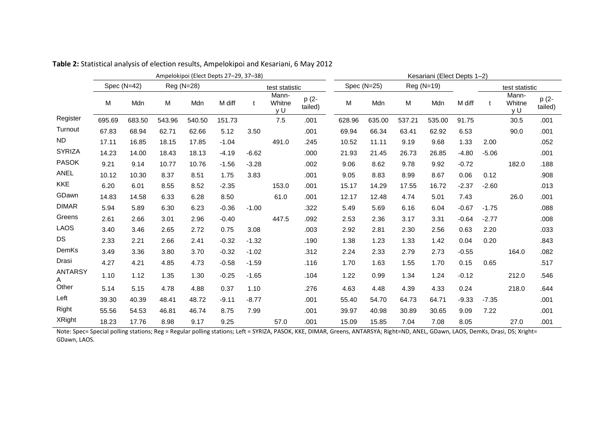|                     | Ampelokipoi (Elect Depts 27-29, 37-38) |        |            |        |         |         |                        |                  |        | Kesariani (Elect Depts 1-2) |        |            |         |                |                        |                  |  |  |
|---------------------|----------------------------------------|--------|------------|--------|---------|---------|------------------------|------------------|--------|-----------------------------|--------|------------|---------|----------------|------------------------|------------------|--|--|
|                     | Spec $(N=42)$                          |        | Reg (N=28) |        |         |         | test statistic         |                  |        | Spec $(N=25)$               |        | Reg (N=19) |         | test statistic |                        |                  |  |  |
|                     | М                                      | Mdn    | M          | Mdn    | M diff  | t       | Mann-<br>Whitne<br>y U | p (2-<br>tailed) | M      | Mdn                         | M      | Mdn        | M diff  | $\mathbf{t}$   | Mann-<br>Whitne<br>y U | p (2-<br>tailed) |  |  |
| Register            | 695.69                                 | 683.50 | 543.96     | 540.50 | 151.73  |         | 7.5                    | .001             | 628.96 | 635.00                      | 537.21 | 535.00     | 91.75   |                | 30.5                   | .001             |  |  |
| Turnout             | 67.83                                  | 68.94  | 62.71      | 62.66  | 5.12    | 3.50    |                        | .001             | 69.94  | 66.34                       | 63.41  | 62.92      | 6.53    |                | 90.0                   | .001             |  |  |
| <b>ND</b>           | 17.11                                  | 16.85  | 18.15      | 17.85  | $-1.04$ |         | 491.0                  | .245             | 10.52  | 11.11                       | 9.19   | 9.68       | 1.33    | 2.00           |                        | .052             |  |  |
| <b>SYRIZA</b>       | 14.23                                  | 14.00  | 18.43      | 18.13  | $-4.19$ | $-6.62$ |                        | .000             | 21.93  | 21.45                       | 26.73  | 26.85      | $-4.80$ | $-5.06$        |                        | .001             |  |  |
| <b>PASOK</b>        | 9.21                                   | 9.14   | 10.77      | 10.76  | $-1.56$ | $-3.28$ |                        | .002             | 9.06   | 8.62                        | 9.78   | 9.92       | $-0.72$ |                | 182.0                  | .188             |  |  |
| ANEL                | 10.12                                  | 10.30  | 8.37       | 8.51   | 1.75    | 3.83    |                        | .001             | 9.05   | 8.83                        | 8.99   | 8.67       | 0.06    | 0.12           |                        | .908             |  |  |
| <b>KKE</b>          | 6.20                                   | 6.01   | 8.55       | 8.52   | $-2.35$ |         | 153.0                  | .001             | 15.17  | 14.29                       | 17.55  | 16.72      | $-2.37$ | $-2.60$        |                        | .013             |  |  |
| GDawn               | 14.83                                  | 14.58  | 6.33       | 6.28   | 8.50    |         | 61.0                   | .001             | 12.17  | 12.48                       | 4.74   | 5.01       | 7.43    |                | 26.0                   | .001             |  |  |
| <b>DIMAR</b>        | 5.94                                   | 5.89   | 6.30       | 6.23   | $-0.36$ | $-1.00$ |                        | .322             | 5.49   | 5.69                        | 6.16   | 6.04       | $-0.67$ | $-1.75$        |                        | .088             |  |  |
| Greens              | 2.61                                   | 2.66   | 3.01       | 2.96   | $-0.40$ |         | 447.5                  | .092             | 2.53   | 2.36                        | 3.17   | 3.31       | $-0.64$ | $-2.77$        |                        | .008             |  |  |
| <b>LAOS</b>         | 3.40                                   | 3.46   | 2.65       | 2.72   | 0.75    | 3.08    |                        | .003             | 2.92   | 2.81                        | 2.30   | 2.56       | 0.63    | 2.20           |                        | .033             |  |  |
| <b>DS</b>           | 2.33                                   | 2.21   | 2.66       | 2.41   | $-0.32$ | $-1.32$ |                        | .190             | 1.38   | 1.23                        | 1.33   | 1.42       | 0.04    | 0.20           |                        | .843             |  |  |
| DemKs               | 3.49                                   | 3.36   | 3.80       | 3.70   | $-0.32$ | $-1.02$ |                        | .312             | 2.24   | 2.33                        | 2.79   | 2.73       | $-0.55$ |                | 164.0                  | .082             |  |  |
| Drasi               | 4.27                                   | 4.21   | 4.85       | 4.73   | $-0.58$ | $-1.59$ |                        | .116             | 1.70   | 1.63                        | 1.55   | 1.70       | 0.15    | 0.65           |                        | .517             |  |  |
| <b>ANTARSY</b><br>A | 1.10                                   | 1.12   | 1.35       | 1.30   | $-0.25$ | $-1.65$ |                        | .104             | 1.22   | 0.99                        | 1.34   | 1.24       | $-0.12$ |                | 212.0                  | .546             |  |  |
| Other               | 5.14                                   | 5.15   | 4.78       | 4.88   | 0.37    | 1.10    |                        | .276             | 4.63   | 4.48                        | 4.39   | 4.33       | 0.24    |                | 218.0                  | .644             |  |  |
| Left                | 39.30                                  | 40.39  | 48.41      | 48.72  | $-9.11$ | $-8.77$ |                        | .001             | 55.40  | 54.70                       | 64.73  | 64.71      | $-9.33$ | $-7.35$        |                        | .001             |  |  |
| Right               | 55.56                                  | 54.53  | 46.81      | 46.74  | 8.75    | 7.99    |                        | .001             | 39.97  | 40.98                       | 30.89  | 30.65      | 9.09    | 7.22           |                        | .001             |  |  |
| <b>XRight</b>       | 18.23                                  | 17.76  | 8.98       | 9.17   | 9.25    |         | 57.0                   | .001             | 15.09  | 15.85                       | 7.04   | 7.08       | 8.05    |                | 27.0                   | .001             |  |  |

**Table 2:** Statistical analysis of election results, Ampelokipoi and Kesariani, 6 May 2012

Note: Spec= Special polling stations; Reg = Regular polling stations; Left = SYRIZA, PASOK, KKE, DIMAR, Greens, ANTARSYA; Right=ND, ANEL, GDawn, LAOS, DemKs, Drasi, DS; Xright= GDawn, LAOS.